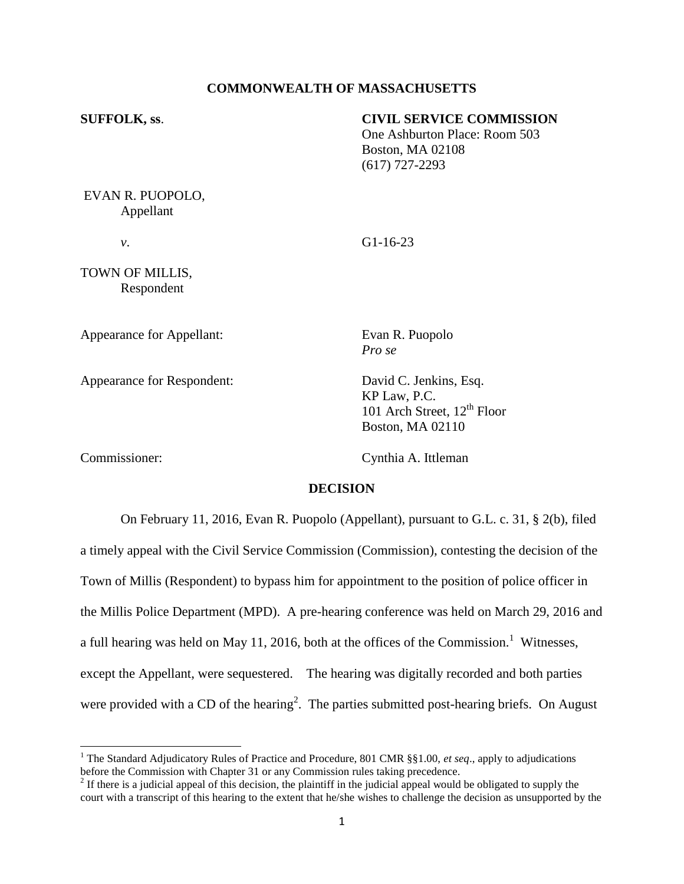### **COMMONWEALTH OF MASSACHUSETTS**

| <b>SUFFOLK, ss.</b>           | <b>CIVIL SERVICE COMMISSION</b><br>One Ashburton Place: Room 503<br><b>Boston, MA 02108</b><br>$(617)$ 727-2293 |
|-------------------------------|-----------------------------------------------------------------------------------------------------------------|
| EVAN R. PUOPOLO,<br>Appellant |                                                                                                                 |
|                               | $G1-16-23$                                                                                                      |

TOWN OF MILLIS, Respondent

Appearance for Appellant: Evan R. Puopolo

Appearance for Respondent: David C. Jenkins, Esq.

*Pro se*

KP Law, P.C. 101 Arch Street,  $12<sup>th</sup>$  Floor Boston, MA 02110

 $\overline{\phantom{a}}$ 

Commissioner: Cynthia A. Ittleman

### **DECISION**

On February 11, 2016, Evan R. Puopolo (Appellant), pursuant to G.L. c. 31, § 2(b), filed a timely appeal with the Civil Service Commission (Commission), contesting the decision of the Town of Millis (Respondent) to bypass him for appointment to the position of police officer in the Millis Police Department (MPD). A pre-hearing conference was held on March 29, 2016 and a full hearing was held on May 11, 2016, both at the offices of the Commission.<sup>1</sup> Witnesses, except the Appellant, were sequestered. The hearing was digitally recorded and both parties were provided with a CD of the hearing<sup>2</sup>. The parties submitted post-hearing briefs. On August

<sup>1</sup> The Standard Adjudicatory Rules of Practice and Procedure, 801 CMR §§1.00, *et seq*., apply to adjudications before the Commission with Chapter 31 or any Commission rules taking precedence.

 $2<sup>2</sup>$  If there is a judicial appeal of this decision, the plaintiff in the judicial appeal would be obligated to supply the court with a transcript of this hearing to the extent that he/she wishes to challenge the decision as unsupported by the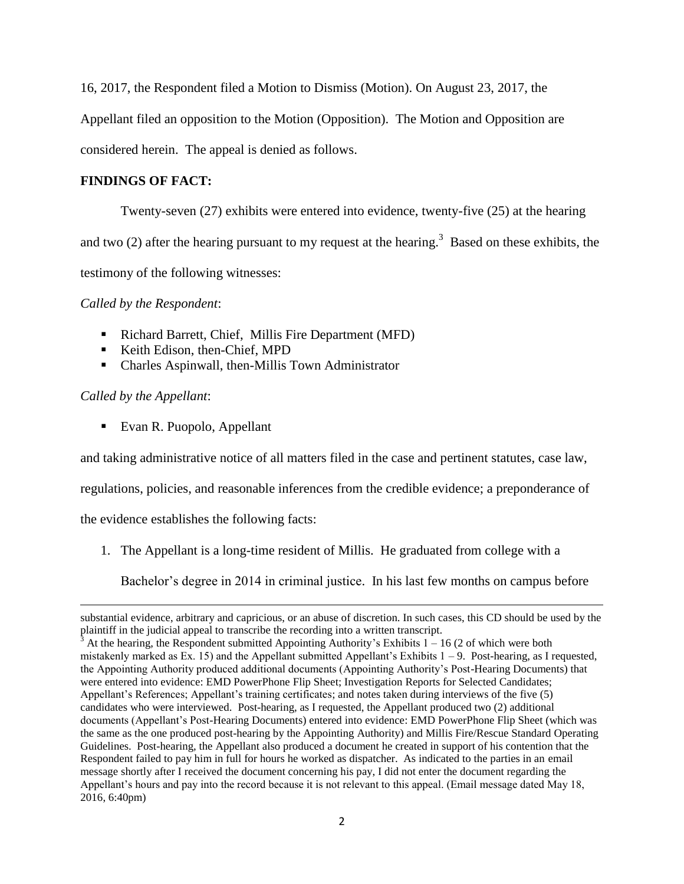16, 2017, the Respondent filed a Motion to Dismiss (Motion). On August 23, 2017, the

Appellant filed an opposition to the Motion (Opposition). The Motion and Opposition are

considered herein. The appeal is denied as follows.

# **FINDINGS OF FACT:**

Twenty-seven (27) exhibits were entered into evidence, twenty-five (25) at the hearing

and two (2) after the hearing pursuant to my request at the hearing.<sup>3</sup> Based on these exhibits, the

testimony of the following witnesses:

*Called by the Respondent*:

- Richard Barrett, Chief, Millis Fire Department (MFD)
- Keith Edison, then-Chief, MPD
- Charles Aspinwall, then-Millis Town Administrator

## *Called by the Appellant*:

l

■ Evan R. Puopolo, Appellant

and taking administrative notice of all matters filed in the case and pertinent statutes, case law,

regulations, policies, and reasonable inferences from the credible evidence; a preponderance of

the evidence establishes the following facts:

1. The Appellant is a long-time resident of Millis. He graduated from college with a

Bachelor's degree in 2014 in criminal justice. In his last few months on campus before

substantial evidence, arbitrary and capricious, or an abuse of discretion. In such cases, this CD should be used by the plaintiff in the judicial appeal to transcribe the recording into a written transcript.

 $3$  At the hearing, the Respondent submitted Appointing Authority's Exhibits  $1 - 16$  (2 of which were both mistakenly marked as Ex. 15) and the Appellant submitted Appellant's Exhibits  $1 - 9$ . Post-hearing, as I requested, the Appointing Authority produced additional documents (Appointing Authority's Post-Hearing Documents) that were entered into evidence: EMD PowerPhone Flip Sheet; Investigation Reports for Selected Candidates; Appellant's References; Appellant's training certificates; and notes taken during interviews of the five (5) candidates who were interviewed. Post-hearing, as I requested, the Appellant produced two (2) additional documents (Appellant's Post-Hearing Documents) entered into evidence: EMD PowerPhone Flip Sheet (which was the same as the one produced post-hearing by the Appointing Authority) and Millis Fire/Rescue Standard Operating Guidelines. Post-hearing, the Appellant also produced a document he created in support of his contention that the Respondent failed to pay him in full for hours he worked as dispatcher. As indicated to the parties in an email message shortly after I received the document concerning his pay, I did not enter the document regarding the Appellant's hours and pay into the record because it is not relevant to this appeal. (Email message dated May 18, 2016, 6:40pm)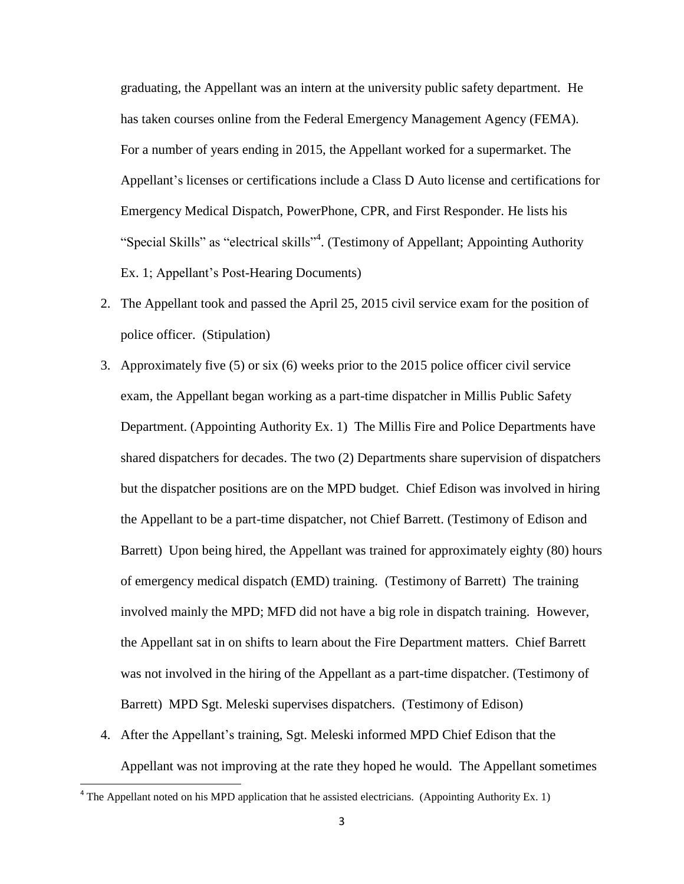graduating, the Appellant was an intern at the university public safety department. He has taken courses online from the Federal Emergency Management Agency (FEMA). For a number of years ending in 2015, the Appellant worked for a supermarket. The Appellant's licenses or certifications include a Class D Auto license and certifications for Emergency Medical Dispatch, PowerPhone, CPR, and First Responder. He lists his "Special Skills" as "electrical skills"<sup>4</sup>. (Testimony of Appellant; Appointing Authority Ex. 1; Appellant's Post-Hearing Documents)

- 2. The Appellant took and passed the April 25, 2015 civil service exam for the position of police officer. (Stipulation)
- 3. Approximately five (5) or six (6) weeks prior to the 2015 police officer civil service exam, the Appellant began working as a part-time dispatcher in Millis Public Safety Department. (Appointing Authority Ex. 1) The Millis Fire and Police Departments have shared dispatchers for decades. The two (2) Departments share supervision of dispatchers but the dispatcher positions are on the MPD budget. Chief Edison was involved in hiring the Appellant to be a part-time dispatcher, not Chief Barrett. (Testimony of Edison and Barrett) Upon being hired, the Appellant was trained for approximately eighty (80) hours of emergency medical dispatch (EMD) training. (Testimony of Barrett) The training involved mainly the MPD; MFD did not have a big role in dispatch training. However, the Appellant sat in on shifts to learn about the Fire Department matters. Chief Barrett was not involved in the hiring of the Appellant as a part-time dispatcher. (Testimony of Barrett) MPD Sgt. Meleski supervises dispatchers. (Testimony of Edison)
- 4. After the Appellant's training, Sgt. Meleski informed MPD Chief Edison that the Appellant was not improving at the rate they hoped he would. The Appellant sometimes

 $\overline{\phantom{a}}$ 

 $4$  The Appellant noted on his MPD application that he assisted electricians. (Appointing Authority Ex. 1)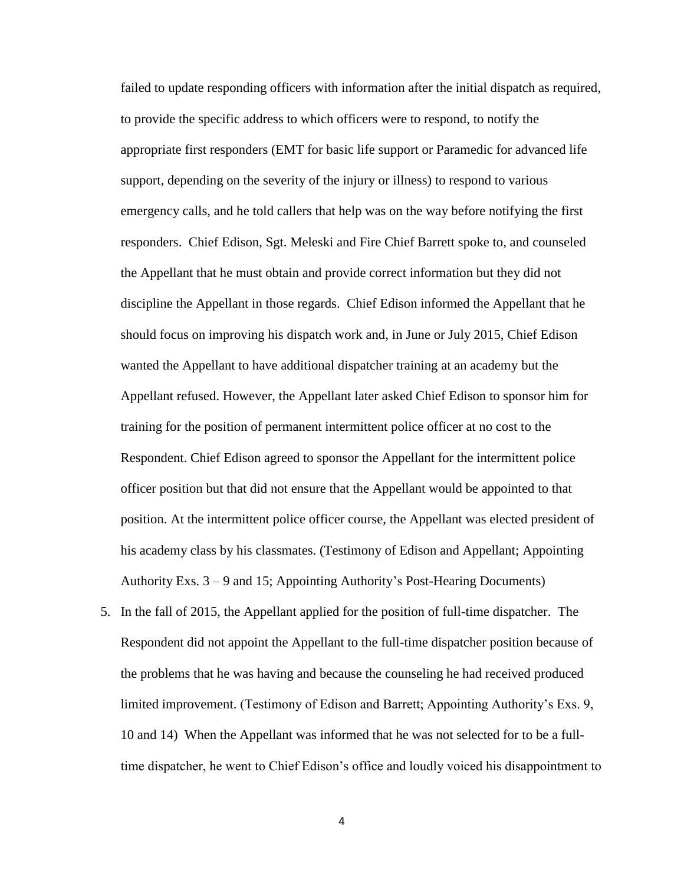failed to update responding officers with information after the initial dispatch as required, to provide the specific address to which officers were to respond, to notify the appropriate first responders (EMT for basic life support or Paramedic for advanced life support, depending on the severity of the injury or illness) to respond to various emergency calls, and he told callers that help was on the way before notifying the first responders. Chief Edison, Sgt. Meleski and Fire Chief Barrett spoke to, and counseled the Appellant that he must obtain and provide correct information but they did not discipline the Appellant in those regards. Chief Edison informed the Appellant that he should focus on improving his dispatch work and, in June or July 2015, Chief Edison wanted the Appellant to have additional dispatcher training at an academy but the Appellant refused. However, the Appellant later asked Chief Edison to sponsor him for training for the position of permanent intermittent police officer at no cost to the Respondent. Chief Edison agreed to sponsor the Appellant for the intermittent police officer position but that did not ensure that the Appellant would be appointed to that position. At the intermittent police officer course, the Appellant was elected president of his academy class by his classmates. (Testimony of Edison and Appellant; Appointing Authority Exs. 3 – 9 and 15; Appointing Authority's Post-Hearing Documents)

5. In the fall of 2015, the Appellant applied for the position of full-time dispatcher. The Respondent did not appoint the Appellant to the full-time dispatcher position because of the problems that he was having and because the counseling he had received produced limited improvement. (Testimony of Edison and Barrett; Appointing Authority's Exs. 9, 10 and 14) When the Appellant was informed that he was not selected for to be a fulltime dispatcher, he went to Chief Edison's office and loudly voiced his disappointment to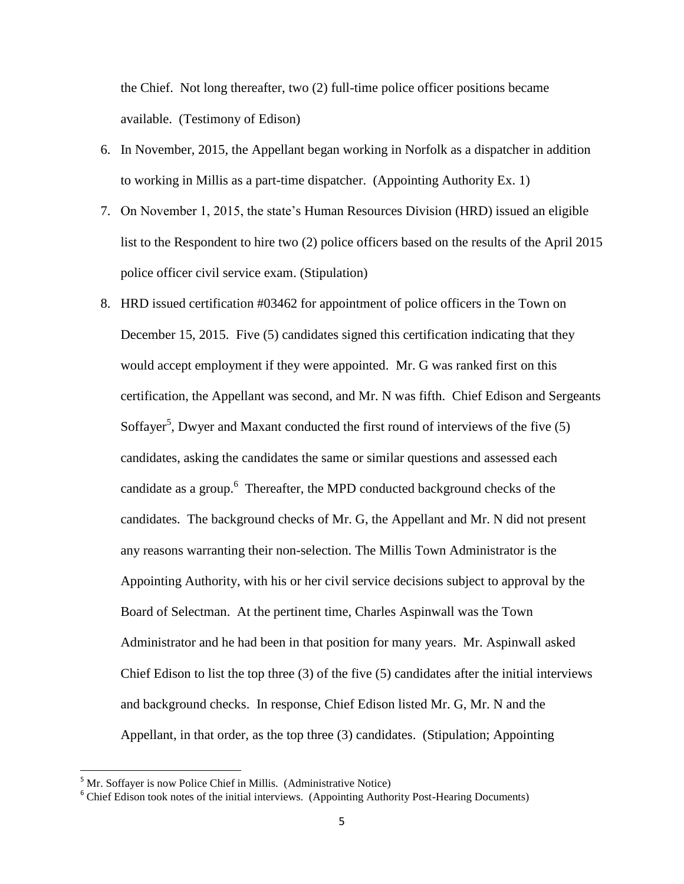the Chief. Not long thereafter, two (2) full-time police officer positions became available. (Testimony of Edison)

- 6. In November, 2015, the Appellant began working in Norfolk as a dispatcher in addition to working in Millis as a part-time dispatcher. (Appointing Authority Ex. 1)
- 7. On November 1, 2015, the state's Human Resources Division (HRD) issued an eligible list to the Respondent to hire two (2) police officers based on the results of the April 2015 police officer civil service exam. (Stipulation)
- 8. HRD issued certification #03462 for appointment of police officers in the Town on December 15, 2015. Five (5) candidates signed this certification indicating that they would accept employment if they were appointed. Mr. G was ranked first on this certification, the Appellant was second, and Mr. N was fifth. Chief Edison and Sergeants Soffayer<sup>5</sup>, Dwyer and Maxant conducted the first round of interviews of the five  $(5)$ candidates, asking the candidates the same or similar questions and assessed each candidate as a group.<sup>6</sup> Thereafter, the MPD conducted background checks of the candidates. The background checks of Mr. G, the Appellant and Mr. N did not present any reasons warranting their non-selection. The Millis Town Administrator is the Appointing Authority, with his or her civil service decisions subject to approval by the Board of Selectman. At the pertinent time, Charles Aspinwall was the Town Administrator and he had been in that position for many years. Mr. Aspinwall asked Chief Edison to list the top three (3) of the five (5) candidates after the initial interviews and background checks. In response, Chief Edison listed Mr. G, Mr. N and the Appellant, in that order, as the top three (3) candidates. (Stipulation; Appointing

l

 $<sup>5</sup>$  Mr. Soffayer is now Police Chief in Millis. (Administrative Notice)</sup>

<sup>&</sup>lt;sup>6</sup> Chief Edison took notes of the initial interviews. (Appointing Authority Post-Hearing Documents)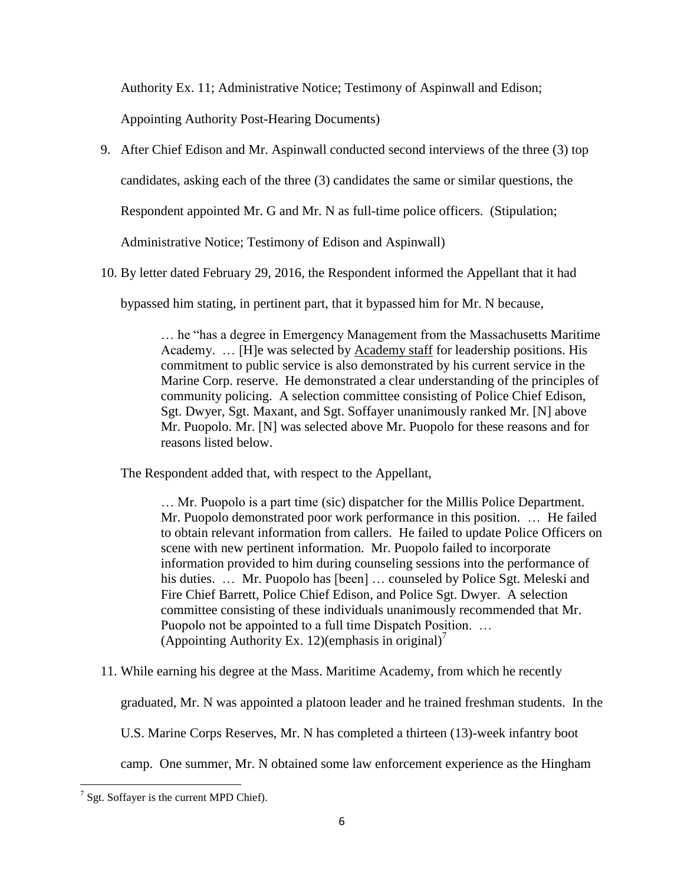Authority Ex. 11; Administrative Notice; Testimony of Aspinwall and Edison;

Appointing Authority Post-Hearing Documents)

9. After Chief Edison and Mr. Aspinwall conducted second interviews of the three (3) top

candidates, asking each of the three (3) candidates the same or similar questions, the

Respondent appointed Mr. G and Mr. N as full-time police officers. (Stipulation;

Administrative Notice; Testimony of Edison and Aspinwall)

10. By letter dated February 29, 2016, the Respondent informed the Appellant that it had

bypassed him stating, in pertinent part, that it bypassed him for Mr. N because,

… he "has a degree in Emergency Management from the Massachusetts Maritime Academy. … [H]e was selected by Academy staff for leadership positions. His commitment to public service is also demonstrated by his current service in the Marine Corp. reserve. He demonstrated a clear understanding of the principles of community policing. A selection committee consisting of Police Chief Edison, Sgt. Dwyer, Sgt. Maxant, and Sgt. Soffayer unanimously ranked Mr. [N] above Mr. Puopolo. Mr. [N] was selected above Mr. Puopolo for these reasons and for reasons listed below.

The Respondent added that, with respect to the Appellant,

… Mr. Puopolo is a part time (sic) dispatcher for the Millis Police Department. Mr. Puopolo demonstrated poor work performance in this position. … He failed to obtain relevant information from callers. He failed to update Police Officers on scene with new pertinent information. Mr. Puopolo failed to incorporate information provided to him during counseling sessions into the performance of his duties. ... Mr. Puopolo has [been] ... counseled by Police Sgt. Meleski and Fire Chief Barrett, Police Chief Edison, and Police Sgt. Dwyer. A selection committee consisting of these individuals unanimously recommended that Mr. Puopolo not be appointed to a full time Dispatch Position. … (Appointing Authority Ex. 12)(emphasis in original)<sup>7</sup>

11. While earning his degree at the Mass. Maritime Academy, from which he recently

graduated, Mr. N was appointed a platoon leader and he trained freshman students. In the

U.S. Marine Corps Reserves, Mr. N has completed a thirteen (13)-week infantry boot

camp. One summer, Mr. N obtained some law enforcement experience as the Hingham

 $\overline{\phantom{a}}$  $7$  Sgt. Soffayer is the current MPD Chief).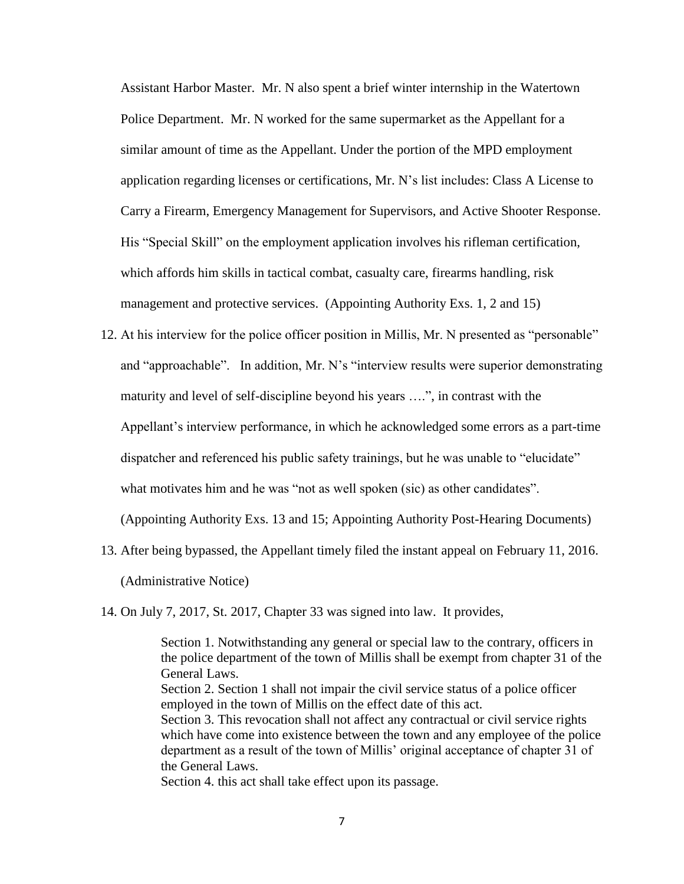Assistant Harbor Master. Mr. N also spent a brief winter internship in the Watertown Police Department. Mr. N worked for the same supermarket as the Appellant for a similar amount of time as the Appellant. Under the portion of the MPD employment application regarding licenses or certifications, Mr. N's list includes: Class A License to Carry a Firearm, Emergency Management for Supervisors, and Active Shooter Response. His "Special Skill" on the employment application involves his rifleman certification, which affords him skills in tactical combat, casualty care, firearms handling, risk management and protective services. (Appointing Authority Exs. 1, 2 and 15)

- 12. At his interview for the police officer position in Millis, Mr. N presented as "personable" and "approachable". In addition, Mr. N's "interview results were superior demonstrating maturity and level of self-discipline beyond his years ….", in contrast with the Appellant's interview performance, in which he acknowledged some errors as a part-time dispatcher and referenced his public safety trainings, but he was unable to "elucidate" what motivates him and he was "not as well spoken (sic) as other candidates". (Appointing Authority Exs. 13 and 15; Appointing Authority Post-Hearing Documents)
- 13. After being bypassed, the Appellant timely filed the instant appeal on February 11, 2016. (Administrative Notice)

14. On July 7, 2017, St. 2017, Chapter 33 was signed into law. It provides,

Section 1. Notwithstanding any general or special law to the contrary, officers in the police department of the town of Millis shall be exempt from chapter 31 of the General Laws. Section 2. Section 1 shall not impair the civil service status of a police officer employed in the town of Millis on the effect date of this act. Section 3. This revocation shall not affect any contractual or civil service rights which have come into existence between the town and any employee of the police department as a result of the town of Millis' original acceptance of chapter 31 of the General Laws. Section 4. this act shall take effect upon its passage.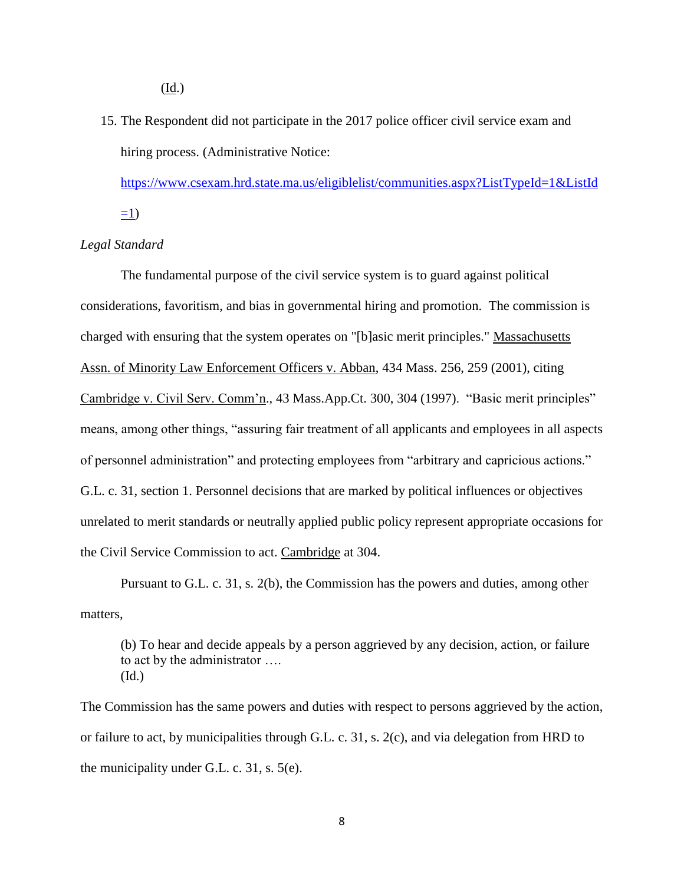(Id.)

15. The Respondent did not participate in the 2017 police officer civil service exam and hiring process. (Administrative Notice:

[https://www.csexam.hrd.state.ma.us/eligiblelist/communities.aspx?ListTypeId=1&ListId](https://www.csexam.hrd.state.ma.us/eligiblelist/communities.aspx?ListTypeId=1&ListId=1)  $=1$ )

*Legal Standard*

The fundamental purpose of the civil service system is to guard against political considerations, favoritism, and bias in governmental hiring and promotion. The commission is charged with ensuring that the system operates on "[b]asic merit principles." Massachusetts Assn. of Minority Law Enforcement Officers v. Abban, 434 Mass. 256, 259 (2001), citing Cambridge v. Civil Serv. Comm'n., 43 Mass.App.Ct. 300, 304 (1997). "Basic merit principles" means, among other things, "assuring fair treatment of all applicants and employees in all aspects of personnel administration" and protecting employees from "arbitrary and capricious actions." G.L. c. 31, section 1. Personnel decisions that are marked by political influences or objectives unrelated to merit standards or neutrally applied public policy represent appropriate occasions for the Civil Service Commission to act. Cambridge at 304.

Pursuant to G.L. c. 31, s. 2(b), the Commission has the powers and duties, among other matters,

(b) To hear and decide appeals by a person aggrieved by any decision, action, or failure to act by the administrator …. (Id.)

The Commission has the same powers and duties with respect to persons aggrieved by the action, or failure to act, by municipalities through G.L. c. 31, s. 2(c), and via delegation from HRD to the municipality under G.L. c. 31, s. 5(e).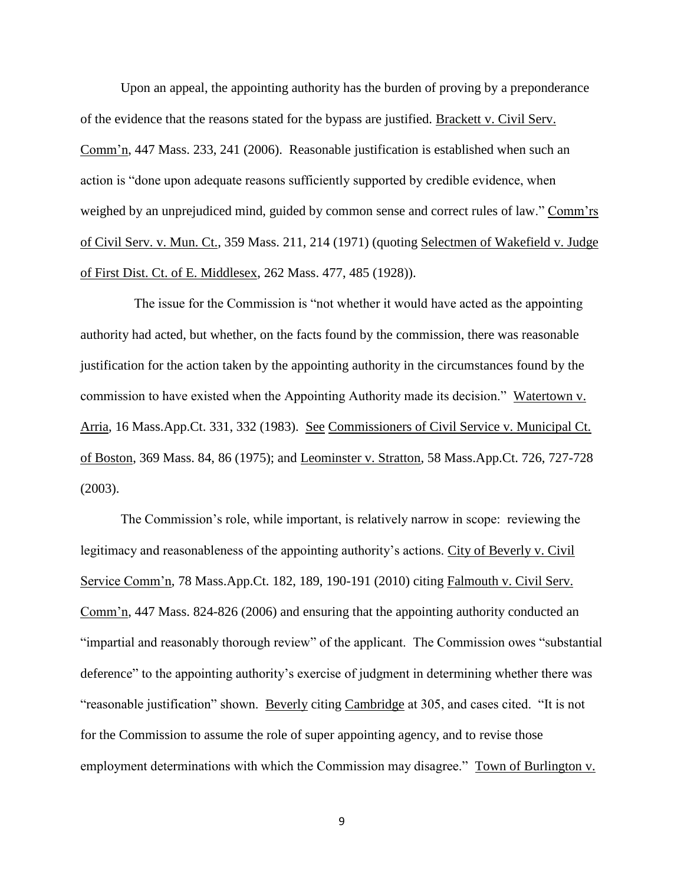Upon an appeal, the appointing authority has the burden of proving by a preponderance of the evidence that the reasons stated for the bypass are justified. Brackett v. Civil Serv. Comm'n, 447 Mass. 233, 241 (2006). Reasonable justification is established when such an action is "done upon adequate reasons sufficiently supported by credible evidence, when weighed by an unprejudiced mind, guided by common sense and correct rules of law." Comm'rs of Civil Serv. v. Mun. Ct., 359 Mass. 211, 214 (1971) (quoting Selectmen of Wakefield v. Judge of First Dist. Ct. of E. Middlesex, 262 Mass. 477, 485 (1928)).

 The issue for the Commission is "not whether it would have acted as the appointing authority had acted, but whether, on the facts found by the commission, there was reasonable justification for the action taken by the appointing authority in the circumstances found by the commission to have existed when the Appointing Authority made its decision." Watertown v. Arria, 16 Mass.App.Ct. 331, 332 (1983). See Commissioners of Civil Service v. Municipal Ct. of Boston, 369 Mass. 84, 86 (1975); and Leominster v. Stratton, 58 Mass.App.Ct. 726, 727-728 (2003).

The Commission's role, while important, is relatively narrow in scope: reviewing the legitimacy and reasonableness of the appointing authority's actions. City of Beverly v. Civil Service Comm'n, 78 Mass.App.Ct. 182, 189, 190-191 (2010) citing Falmouth v. Civil Serv. Comm'n, 447 Mass. 824-826 (2006) and ensuring that the appointing authority conducted an "impartial and reasonably thorough review" of the applicant. The Commission owes "substantial deference" to the appointing authority's exercise of judgment in determining whether there was "reasonable justification" shown. Beverly citing Cambridge at 305, and cases cited. "It is not for the Commission to assume the role of super appointing agency, and to revise those employment determinations with which the Commission may disagree." Town of Burlington v.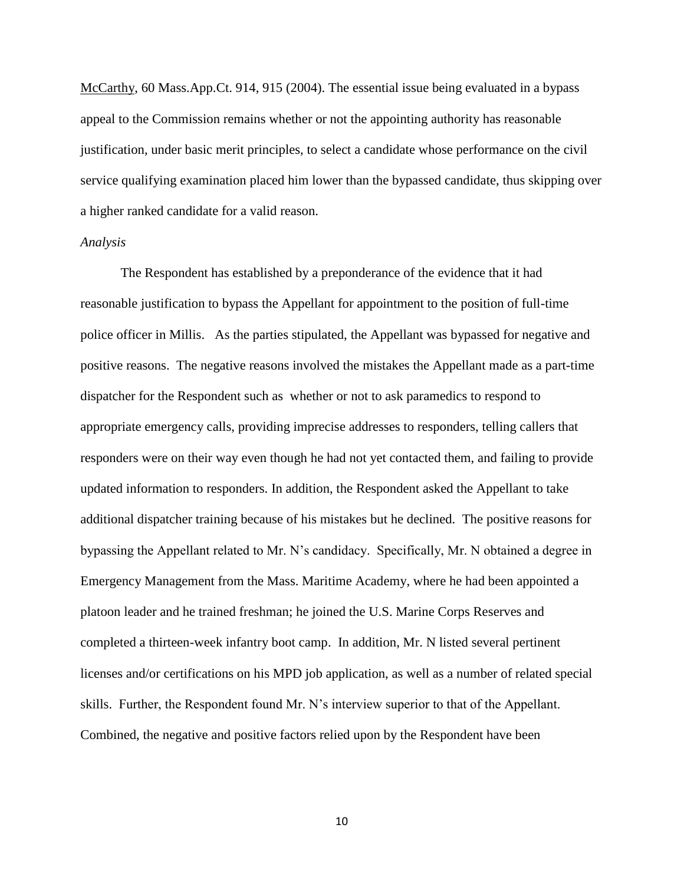McCarthy, 60 Mass.App.Ct. 914, 915 (2004). The essential issue being evaluated in a bypass appeal to the Commission remains whether or not the appointing authority has reasonable justification, under basic merit principles, to select a candidate whose performance on the civil service qualifying examination placed him lower than the bypassed candidate, thus skipping over a higher ranked candidate for a valid reason.

#### *Analysis*

The Respondent has established by a preponderance of the evidence that it had reasonable justification to bypass the Appellant for appointment to the position of full-time police officer in Millis. As the parties stipulated, the Appellant was bypassed for negative and positive reasons. The negative reasons involved the mistakes the Appellant made as a part-time dispatcher for the Respondent such as whether or not to ask paramedics to respond to appropriate emergency calls, providing imprecise addresses to responders, telling callers that responders were on their way even though he had not yet contacted them, and failing to provide updated information to responders. In addition, the Respondent asked the Appellant to take additional dispatcher training because of his mistakes but he declined. The positive reasons for bypassing the Appellant related to Mr. N's candidacy. Specifically, Mr. N obtained a degree in Emergency Management from the Mass. Maritime Academy, where he had been appointed a platoon leader and he trained freshman; he joined the U.S. Marine Corps Reserves and completed a thirteen-week infantry boot camp. In addition, Mr. N listed several pertinent licenses and/or certifications on his MPD job application, as well as a number of related special skills. Further, the Respondent found Mr. N's interview superior to that of the Appellant. Combined, the negative and positive factors relied upon by the Respondent have been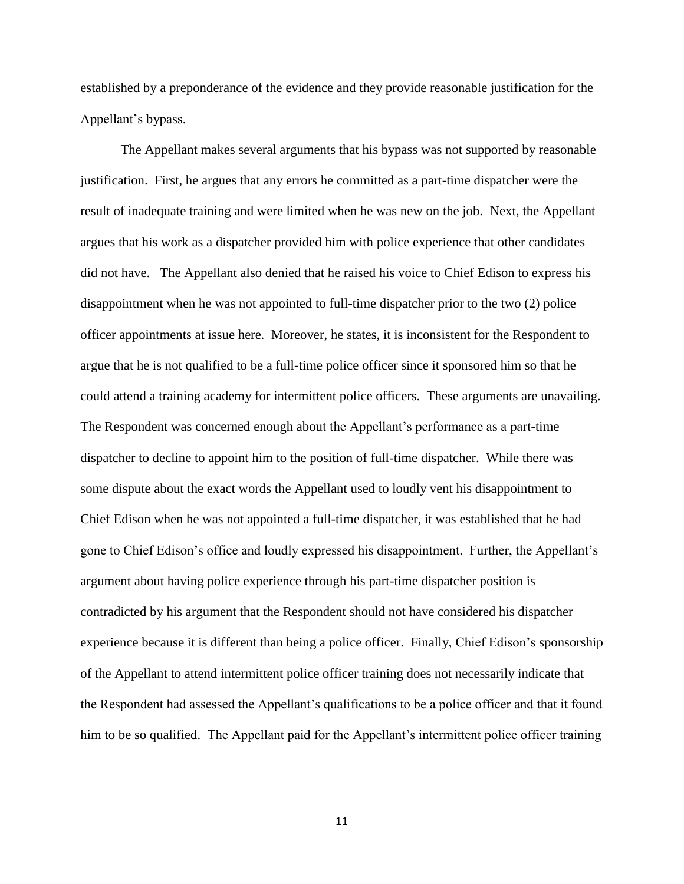established by a preponderance of the evidence and they provide reasonable justification for the Appellant's bypass.

The Appellant makes several arguments that his bypass was not supported by reasonable justification. First, he argues that any errors he committed as a part-time dispatcher were the result of inadequate training and were limited when he was new on the job. Next, the Appellant argues that his work as a dispatcher provided him with police experience that other candidates did not have. The Appellant also denied that he raised his voice to Chief Edison to express his disappointment when he was not appointed to full-time dispatcher prior to the two (2) police officer appointments at issue here. Moreover, he states, it is inconsistent for the Respondent to argue that he is not qualified to be a full-time police officer since it sponsored him so that he could attend a training academy for intermittent police officers. These arguments are unavailing. The Respondent was concerned enough about the Appellant's performance as a part-time dispatcher to decline to appoint him to the position of full-time dispatcher. While there was some dispute about the exact words the Appellant used to loudly vent his disappointment to Chief Edison when he was not appointed a full-time dispatcher, it was established that he had gone to Chief Edison's office and loudly expressed his disappointment. Further, the Appellant's argument about having police experience through his part-time dispatcher position is contradicted by his argument that the Respondent should not have considered his dispatcher experience because it is different than being a police officer. Finally, Chief Edison's sponsorship of the Appellant to attend intermittent police officer training does not necessarily indicate that the Respondent had assessed the Appellant's qualifications to be a police officer and that it found him to be so qualified. The Appellant paid for the Appellant's intermittent police officer training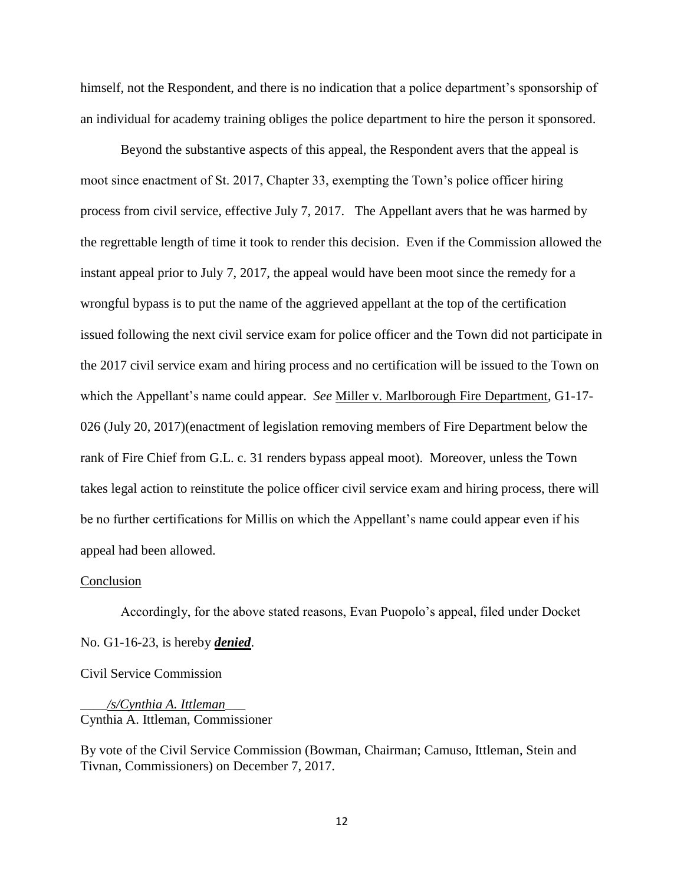himself, not the Respondent, and there is no indication that a police department's sponsorship of an individual for academy training obliges the police department to hire the person it sponsored.

Beyond the substantive aspects of this appeal, the Respondent avers that the appeal is moot since enactment of St. 2017, Chapter 33, exempting the Town's police officer hiring process from civil service, effective July 7, 2017. The Appellant avers that he was harmed by the regrettable length of time it took to render this decision. Even if the Commission allowed the instant appeal prior to July 7, 2017, the appeal would have been moot since the remedy for a wrongful bypass is to put the name of the aggrieved appellant at the top of the certification issued following the next civil service exam for police officer and the Town did not participate in the 2017 civil service exam and hiring process and no certification will be issued to the Town on which the Appellant's name could appear. *See* Miller v. Marlborough Fire Department, G1-17- 026 (July 20, 2017)(enactment of legislation removing members of Fire Department below the rank of Fire Chief from G.L. c. 31 renders bypass appeal moot). Moreover, unless the Town takes legal action to reinstitute the police officer civil service exam and hiring process, there will be no further certifications for Millis on which the Appellant's name could appear even if his appeal had been allowed.

#### Conclusion

Accordingly, for the above stated reasons, Evan Puopolo's appeal, filed under Docket No. G1-16-23, is hereby *denied*.

Civil Service Commission

\_\_\_\_*/s/Cynthia A. Ittleman*\_\_\_ Cynthia A. Ittleman, Commissioner

By vote of the Civil Service Commission (Bowman, Chairman; Camuso, Ittleman, Stein and Tivnan, Commissioners) on December 7, 2017.